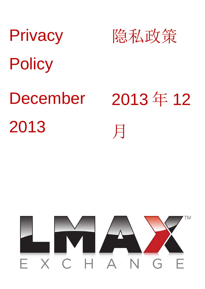# **Privacy Policy** 隐私政策 December 2013 2013 年 12 月

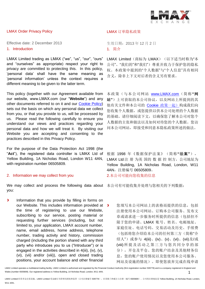

### LMAX Order Privacy Policy LOMATE State State LMAX 订单隐私政策

Effective date: 2 December 2013 <br>
<sub>生效日期: 2013年 12 月 2 日</sub> 1. Introduction 2. 2008年12月20日 1. 简介

LMAX Limited trading as LMAX ("we", "us", "our", "ours" and "ourselves" as appropriate) respect your right to privacy are committed to protecting this. In this policy, 'personal data' shall have the same meaning as 'personal information' unless the context requires a different meaning to be given to the latter term.

This policy (together with our Agreement available from our website, www.LMAX.com (our "**Website**") and any other documents referred to on it and our [Cookie Policy\)](http://www.lmax.com/pdf/Cookies-Policy.pdf) sets out the basis on which any personal data we collect from you, or that you provide to us, will be processed by us. Please read the following carefully to ensure you understand our views and practices regarding your personal data and how we will treat it. By visiting our Website you are accepting and consenting to the practices described in this Privacy Policy.

For the purpose of the Data Protection Act 1998 (the "**Act**"), the registered data controller is LMAX Ltd of Yellow Building, 1A Nicholas Road, London W11 4AN, with registration number 06505809.

### 2. Information we may collect from you **2.本公司可能向您收集的信息**

We may collect and process the following data about 本公司有可能收集并处理与您相关的下列数据: you:

 $\mathbf{v}$ Information that you provide by filling in forms on our Website. This includes information provided at > the time of registering to use our Website, subscribing to our service, posting material or requesting further services (including, but not limited to, your application, LMAX account number, name, email address, home address, telephone number, trading activity and history, commission charged (including the portion shared with any third party who introduces you to us ("Introducer") or is engaged in the activities described in 4(iii), (iv), (v), (vi), (vii) and/or (viii)), open and closed trading positions, your account balance and other financial

LMAX Limited (商标为 LMAX) (以下适当时称为"本 公司"、"我们的"和"我们")尊重并致力于保护您的隐私 权。本政策中提到的"个人数据"与"个人信息"具有相同 含义,除非上下文对后者的含义另有要求。

本政策(与本公司网站 [www.LMAX.com](http://www.lmax.com/)(简称**"**网 站**"**)上可获取的本公司协议,以及网站上所提到的其 他有关文件和本公司的 [Cookie](http://www.lmax.com/pdf/Cookies-Policy.pdf) 政策一起)构成我们向 您收集个人数据,或您提供以供本公司处理的个人数据 的基础。请仔细阅读下文,以确保您了解本公司对您个 人数据的主张和做法以及如何对待您的个人数据。您访 问本公司网站,即接受和同意本隐私政策所述的做法。

根据 1998 年《数据保护法案》(简称**"**法案**"**), LMAX Ltd 注 册 为英 国的 数 据 控 制方, 公司地址为 Yellow Building, 1A Nicholas Road, London, W11 4AN,注册编号 06505809。

您填写本公司网站上的表格而提供的信息,包括 注册使用本公司网站、订购本公司服务、发布文 章或请求进一步服务时所提供的信息(包括但不 限于您的申请、LMAX 账号、姓名、电邮地址、 家庭住址、电话号码、交易活动及历史、手续费 (包括将您介绍给本公司的任何第三方(简称"介 绍人")或参与 4(iii)、(iv)、(v)、(vi)、(vii)及/或 (viii) 所提及活动之第三方与您共同分享的部 分),开仓及平仓、您的账户结余及其他财务信 息,您的账户使用情况以及您使用本公司服务、 网站及设施的情况)。即使您放弃完成在线申请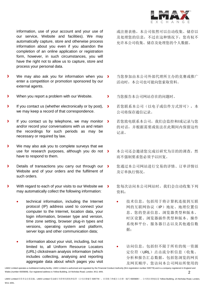

information, use of your account and your use of our service, Website and facilities). We may automatically capture, store and otherwise process information about you even if you abandon the completion of an online application or registration form, however, in such circumstances, you will have the right not to allow us to capture, store and process your personal data.

- We may also ask you for information when you  $\rightarrow$ enter a competition or promotion sponsored by our external agents.
- When you report a problem with our Website. 当您报告本公司网站存在的问题时。
- If you contact us (whether electronically or by post), we may keep a record of that correspondence.
- If you contact us by telephone, we may monitor  $\rightarrow$ and/or record your conversations with us and retain the recordings for such periods as may be necessary or required by law.
- We may also ask you to complete surveys that we use for research purposes, although you do not > have to respond to them.
- Details of transactions you carry out through our > Website and of your orders and the fulfilment of such orders.
- With regard to each of your visits to our Website we > may automatically collect the following information:
	- technical information, including the Internet protocol (IP) address used to connect your computer to the Internet, location data, your login information, browser type and version, time zone setting, browser plug-in types and versions, operating system and platform, server logs and other communication data;
	- information about your visit, including, but not limited to, all Uniform Resource Locators (URL) clickstream analysis information (which includes collecting, analysing and reporting aggregate data about which pages you visit

或注册表格,本公司依然可以自动收集、储存以 及处理您的信息,不过在这种情况下,您有权不 允许本公司收集、储存及处理您的个人数据。

- 当您参加由本公司外部代理所主办的竞赛或推广 活动时,本公司也可能向您索取资料。
- 
- $\overline{\phantom{a}}$ 若您联系本公司(以电子或信件方式皆可),本 公司将保存通信记录。
- 若您致电联系本公司,我们会监控和/或记录与您 的对话,并根据需要或依法在此期间内保留这些 记录。
- 本公司还会邀请您完成以研究为目的的调查,然 而不强制要求您必须予以回复。
- 您通过本公司网站进行交易的详情、订单详情以 及订单执行情况。
- 您每次访问本公司网站时,我们会自动收集下列 资料:
	- 技术信息,包括用于将计算机连接到互联 网的互联网协议(IP)地址、地理位置信 息、您的登录信息、浏览器类型和版本、 时区设置、浏览器插件类型和版本、操作 系统和平台、服务器日志以及其他通信数 据;
	- 访问信息,包括但不限于所有的统一资源 定位符(URL)点击流分析信息(收集、 分析和报告汇总数据,包括您浏览的网页 及网页顺序、您访问本公司网站所使用的

LMAX Limited operates a multilateral trading facility. LMAX Limited is authorised and regulated by the Financial Conduct Authority (firm registration number 509778) and is a company registered in England and Wales (number 6505809). Our registered address is Yellow Building, 1A Nicholas Road, London, W11 4AN. 2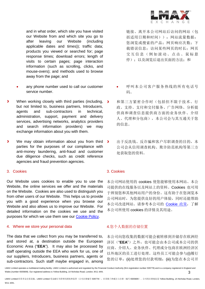

and in what order, which site you have visited our Website from and which site you go to after leaving our Website (including applicable dates and times)); traffic data; products you viewed or searched for; page response times; download errors; length of visits to certain pages; page interaction information (such as scrolling, clicks, and mouse-overs); and methods used to browse away from the page; and

- any phone number used to call our customer service number.
- When working closely with third parties (including, but not limited to, business partners, Introducers, agents and sub-contractors in technical, administration, support, payment and delivery services, advertising networks, analytics providers and search information providers) we may exchange information about you with them.
- We may obtain information about you from third  $\mathbf{v}$ parties for the purposes of our compliance with anti-money laundering, anti-fraud and customer due diligence checks, such as credit reference agencies and fraud prevention agencies.

Our Website uses cookies to enable you to use the Website, the online services we offer and the materials on the Website. Cookies are also used to distinguish you from other users of our Website. This helps us to provide you with a good experience when you browse our Website and also allows us to improve our Website. For detailed information on the cookies we use and the purposes for which we use them see our [Cookie Policy.](http://www.lmax.com/pdf/Cookies-Policy.pdf)

### 4. Where we store your personal data 4.您个人数据的存储位置

The data that we collect from you may be transferred to, and stored at, a destination outside the European Economic Area ("**EEA**"). It may also be processed by staff operating outside the EEA who work for us, one of our suppliers, Introducers, business partners, agents or sub-contractors. Such staff maybe engaged in, among

链接、离开本公司网站后访问的网站(包 括适用日期和时间));网站流量数据; 您浏览或搜索的产品;网页响应次数;下 载错误信息;访问某些网页的时长;网页 交 互 信息(例如滚动、点击、鼠标悬 停): 以及浏览后退出页面的方法: 和

- 呼叫本公司客户服务热线的所有电话号 码。
- 和第三方紧密合作时(包括但不限于技术、行  $\overline{\phantom{a}}$ 政、支持、支付和交付服务、广告网络、分析提 供商和调查信息提供商方面的业务伙伴、介绍 人、代理和分包商),本公司会与其互通关于您 的信息。
- 出于反洗钱、反诈骗和客户尽职调查的目的,本  $\overline{\phantom{a}}$ 公司会从信用调查机构、欺诈防范机构等第三方 处获取您的资料。

### 3. Cookies 3. Cookies

本公司网站使用的 cookies 使您能够使用本网站、本公 司提供的在线服务以及网站上的资料。Cookies 也可用 于辨别您和其他网站用户的身份。这有助于在您浏览本 公司网站时,为您提供良好的用户体验,同时还能帮助 本公司改进网站。请参考本公司的 [Cookie](http://www.lmax.com/pdf/Cookies-Policy.pdf) 政策,了解 本公司所使用 cookies 的详情及其用途。

本公司向您收集的数据可能会被转移到并储存在欧洲经 济区("**EEA**")之外,也可能会由本公司或本公司的供 应商、介绍人、业务伙伴、代理或分包商在欧洲经济区 以外地区的员工进行处理。这些员工可能会参与(i)履行 您的订单;(ii)处理您的付款明细;(iii)为您在本公司开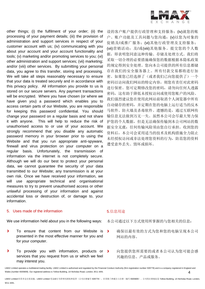

other things; (i) the fulfilment of your order; (ii) the processing of your payment details; (iii) the provision of administration and support services in respect of your customer account with us; (iv) communicating with you about your account and your account functionality and tools; (v) marketing and/or promoting services to you; (vi) other administration and support services; (vii) marketing; and/or (viii) other services. By submitting your personal data, you agree to this transfer, storing and processing. We will take all steps reasonably necessary to ensure that your data is treated securely and in accordance with this privacy policy. All information you provide to us is stored on our secure servers. Any payment transactions will be encrypted. Where you have chosen (or where we have given you) a password which enables you to access certain parts of our Website, you are responsible for keeping this password confidential. You should change your password on a regular basis and not share it with anyone. This will help to reduce the risk of unauthorised access to or use of your account. We strongly recommend that you disable any automatic password memory in your browser prior to using the Website and that you run appropriate anti-spyware, firewall and virus protection on your computer on a regular basis. Unfortunately, the transmission of information via the internet is not completely secure. Although we will do our best to protect your personal data, we cannot guarantee the security of your data transmitted to our Website; any transmission is at your own risk. Once we have received your information, we will use appropriate technical and organisational measures to try to prevent unauthorised access or other unlawful processing of your information and against accidental loss or destruction of, or damage to, your information.

### 5. Uses made of the information The Context of the information The Section of the Section of the Section of the

We use information held about you in the following ways: 本公司通过以下方式使用所掌握的与您相关的信息:

- To ensure that content from our Website is  $\overline{\mathbf{z}}$ presented in the most effective manner for you and for your computer.
- $\mathbf{v}$ To provide you with information, products or > services that you request from us or which we feel may interest you.

设的客户账户提供行政管理和支持服务;(iv)就您的账 户、账户功能及工具问题与您沟通;(v)以您为对象的 促销及/或推广服务;(vi)其他行政管理及支持服务; (vii)营销活动;及/或(viii)其他服务。提交您的个人数 据,即表明您同意这种传输、存储及处理方式。我们将 采取一切合理的必要措施确保您的数据根据本隐私政策 的规定得到安全处理。您向本公司提供的所有信息都储 存在我们的安全服务器上。所有付款交易都将进行加 密。如果您已经选择了(或者我们已向您提供了)一个 密码以访问我们网站的特定内容,则您有责任对此密码 进行保密。您可定期修改您的密码,请勿向任何人透露 密码,这有助于降低未授权访问或使用您账户的风险。 我们强烈建议您在使用此网站前取消个人浏览器中所有 自动储存的密码,并定期在您的电脑上运行适当的反木 马软件、防火墙及杀毒软件。遗憾的是,通过互联网传 输信息无法做到万无一失。虽然本公司会尽最大努力保 护您的个人数据,但是无法确保传输到本公司网站的数 据安全无虞;任何传输风险须由您自行承担。收到您的 资料后,本公司会采用适当的技术及机构措施全力阻止 未经授权访问或非法处理您资料的行为,防范您的资料 遭受意外丢失、毁坏或损坏。

- $\overline{\phantom{0}}$ 确保以最有效的方式为您和您的电脑呈现本公司 网站的内容。
	- 向您提供您所需要的或者本公司认为您可能会感 兴趣的信息、产品或服务。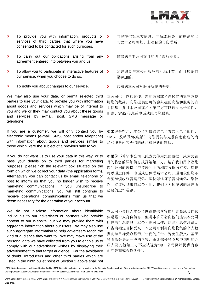

- To provide you with information, products or >  $\blacktriangleright$ services of third parties that where you have consented to be contacted for such purposes.
- To carry out our obligations arising from any  $\rightarrow$  $\mathbf{v}$ agreement entered into between you and us.
- To allow you to participate in interactive features of  $\rightarrow$  $\mathbf{v}$ our service, when you choose to do so.
- $\blacktriangleright$ To notify you about changes to our service. <br> **D** 通知您本公司对服务所作的变更。

We may also use your data, or permit selected third parties to use your data, to provide you with information about goods and services which may be of interest to you and we or they may contact you about these goods and services by e-mail, post, SMS message or telephone.

If you are a customer, we will only contact you by electronic means (e-mail, SMS, post and/or telephone) with information about goods and services similar to those which were the subject of a previous sale to you.

If you do not want us to use your data in this way, or to pass your details on to third parties for marketing purposes, please tick the relevant box situated on the form on which we collect your data (the application form). Alternatively you can contact us by email, telephone or post to inform us that you no longer wish to receive marketing communications. If you unsubscribe to marketing communications, you will still continue to receive operational communications from us that we deem necessary for the operation of your account.

We do not disclose information about identifiable individuals to our advertisers or partners who provide content to our Website, but we may provide them with aggregate information about our users. We may also use such aggregate information to help advertisers reach the kind of audience they want to. We may make use of the personal data we have collected from you to enable us to comply with our advertisers' wishes by displaying their advertisement to that target audience. For the avoidance of doubt, Introducers and other third parties which are listed in the ninth bullet point of Section 2 above shall not

- 向您提供第三方信息、产品或服务,前提是您已 同意本公司可基于上述目的与您联系。
- 根据您与本公司签订的协议履行职责。
- 允许您参与本公司服务的互动环节,而且您是自 愿参加的。
- 

本公司也可以通过使用您的数据或允许选定的第三方使 用您的数据,向您提供您可能感兴趣的商品和服务的有 关信息,并且本公司或相关第三方可以通过电子邮件、 邮寄、SMS 信息或电话就此与您联系。

如果您是客户,本公司将仅通过电子方式(电子邮件、 SMS、发帖及/或电话)向您提供与先前向您出售的商 品和服务内容类似的商品和服务的信息。

如果您不希望本公司以此方式使用您的数据,或为营销 目的将您的详细信息披露给第三方,请在我们用来收集 您的数据的表格(申请表)上的相应方框内打勾。您也 可以通过邮件、电话或信件联系本公司,通知我们您不 希望继续收到营销资讯。即使您退订了营销通讯,您依 然会继续收到来自本公司的,我们认为运作您的账户所 必要的运作通讯。

本公司不会向为本公司网站提供内容的广告商或合作伙 伴透露个人身份信息,但是本公司会向他们提供本公司 用户的汇总信息。本公司也可以使用这些汇总信息帮助 广告商锁定目标受众。本公司可利用向您收集的个人数 据向该目标受众显示广告商的广告。为免生疑义,基于 第5部分最后一段的内容,第2部分第9项中列明的介 绍人及其他第三方不应被视为"为本公司网站提供内容 的广告商或合作伙伴"。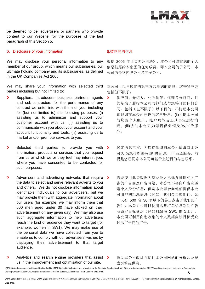

be deemed to be 'advertisers or partners who provide content to our Website' for the purposes of the last paragraph of this Section 5.

### 6. Disclosure of your Information **6.** blood and the set of set of set of set of  $\theta$ . we set of  $\theta$ . The set of  $\theta$

We may disclose your personal information to any member of our group, which means our subsidiaries, our ultimate holding company and its subsidiaries, as defined in the UK Companies Act 2006.

We may share your information with selected third parties including but not limited to:

- Suppliers, Introducers, business partners, agents and sub-contractors for the performance of any contract we enter into with them or you, including for (but not limited to) the following purposes: (i) assisting us to administer and support your customer account with us; (ii) assisting us to communicate with you about your account and your account functionality and tools; (iii) assisting us to market and/or promote services to you.
- Selected third parties to provide you with > information, products or services that you request from us or which we or they feel may interest you, where you have consented to be contacted for such purposes.
- Advertisers and advertising networks that require the data to select and serve relevant adverts to you and others. We do not disclose information about identifiable individuals to our advertisers, but we may provide them with aggregate information about our users (for example, we may inform them that 500 men aged under 30 have clicked on their advertisement on any given day). We may also use such aggregate information to help advertisers reach the kind of audience they want to target (for example, women in SW1). We may make use of the personal data we have collected from you to enable us to comply with our advertisers' wishes by displaying their advertisement to that target audience.

根据 2006 年《英国公司法》,本公司可以将您的个人 信息披露给本集团的任何成员,即本公司的子公司、本 公司的最终控股公司及其子公司。

本公司可以与选定的第三方共享您的信息,这些第三方 包括但不限于:

- $\mathbf{v}$ 供应商、介绍人、业务伙伴、代理及分包商,目 的是为了履行本公司与他们或与您签订的任何合 同,包括(但不限于)以下目的:(i)协助本公司 管理您在本公司开设的客户账户;(ii)协助本公司 与您就个人账户、账户功能及工具事宜进行沟 通:(iii)协助本公司为您提供促销及/或宣传服 务。
- 选定的第三方,为您提供您向本公司请求或本公 司认 为您可能感兴 趣 的信 息、产 品或服务, 前 提是您已同意本公司可基于上述目的与您联系。
- 需要使用此类数据为您及他人挑选并推送相关广  $\rightarrow$ 告的广告商及广告网络。本公司不会向广告商透 露个人身份信息,但是本公司会向他们提供本公 司用户的汇总信息(例如,我们会告知他们,某 一天有 500 名 30 岁以下的男士点击了他们的广 告)。本公司也可以使用这些汇总信息帮助广告 商锁定目标受众(例如邮编为 SW1 的女士)。 本公司可利用向您收集的个人数据向该目标受众 显示广告商的广告。

Analytics and search engine providers that assist >  $\blacktriangleright$ us in the improvement and optimisation of our site.

协助本公司改进并优化本公司网站的分析师及搜 索引擎提供商。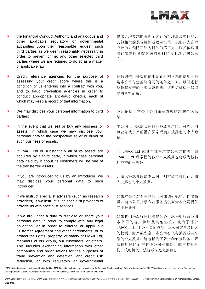

- $\mathbf{v}$ the Financial Conduct Authority and analogous and **>** other applicable regulatory or governmental authorities upon their reasonable request; such third parties as we deem reasonably necessary in order to prevent crime; and other selected third parties where we are required to do so as a matter of applicable law.
- Credit reference agencies for the purpose of > assessing your credit score where this is a condition of us entering into a contract with you, and to fraud prevention agencies in order to conduct appropriate anti-fraud checks, each of which may keep a record of that information.
- $\overline{\phantom{a}}$ We may disclose your personal information to third > parties:
- $\overline{\phantom{a}}$ In the event that we sell or buy any business or  $\rightarrow$ assets, in which case we may disclose your personal data to the prospective seller or buyer of such business or assets.
- $\mathbf{v}$ If LMAX Ltd or substantially all of its assets are  $\rightarrow$ acquired by a third party, in which case personal data held by it about its customers will be one of the transferred assets.
- If you are introduced to us by an Introducer, we  $\rightarrow$ x may disclose your personal data to such Introducer.
- $\overline{\phantom{a}}$ If we instruct specialist advisers (such as research > providers), if we instruct such specialist providers to provide us with specialist services.
- If we are under a duty to disclose or share your  $\rightarrow$ personal data in order to comply with any legal obligation, or in order to enforce or apply our Customer Agreement and other agreements; or to protect the rights, property, or safety of LMAX Ltd, members of our group, our customers, or others. This includes exchanging information with other companies and organisations for the purposes of fraud prevention and detection, and credit risk reduction, or with regulatory or governmental
- 提出合理要求的英国金融行为管理局及类似的、 其他相关的监管机构或政府机关;我们认为合理 必要的以预防犯罪为目的的第三方;以及依适用 法律要求向其披露您的资料的其他选定的第三 方。
- 评估您信用分数的信用调查机构(您的信用分数 是本公司与您签订合同的条件之一),以及进行 反诈骗检查的诈骗防范机构,这两类机构会保留 您的资料记录。
- 下列情况下本公司会向第三方披露您的个人信 息:
- 本公司出售或购买任何业务或资产时,可能会向 该业务或资产的潜在买家或卖家披露您的个人数 据。
- 若 LMAX Ltd 或其全部资产被第三方收购, 则 LMAX Ltd 所掌握的客户个人数据也将成为被转 让资产的一部分。
- 介绍人将您介绍给本公司,则本公司可向该介绍 人披露您的个人数据。
- 如果本公司对专业顾问(例如调研机构)作出指 示,当本公司指示专业服务提供商为本公司提供 专业服务时。
- 如果我们为履行任何法律义务,或为执行或应用 本公司的客户协议及其他协议,或为了保护 LMAX Ltd、本公司集团成员,本公司客户及他人 的权利、财产或安全,本公司有义务披露或共享 您的个人数据。这包括为了防止和侦查诈骗、降 低信用风险而与其他公司和组织,或与监管机 构、政府机关、法院或法庭交换信息。

LMAX Limited operates a multilateral trading facility. LMAX Limited is authorised and regulated by the Financial Conduct Authority (firm registration number 509778) and is a company registered in England and Wales (number 6505809). Our registered address is Yellow Building, 1A Nicholas Road, London, W11 4AN. 7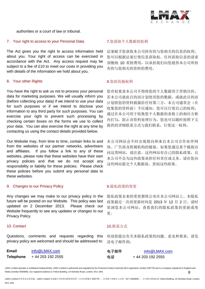

authorities or a court of law or tribunal.

### 7. Your right to access to your Personal Data <br>
7. 您获取个人数据的权利

The Act gives you the right to access information held about you. Your right of access can be exercised in accordance with the Act. Any access request may be subject to a fee of £10 to meet our costs in providing you with details of the information we hold about you.

## 8. Your other Rights **8. Section 2. Section 2. Section** 3. **8.** 您的其他权利

You have the right to ask us not to process your personal data for marketing purposes. We will usually inform you (before collecting your data) if we intend to use your data for such purposes or if we intend to disclose your information to any third party for such purposes. You can exercise your right to prevent such processing by checking certain boxes on the forms we use to collect your data. You can also exercise the right at any time by contacting us using the contact details provided below.

Our Website may, from time to time, contain links to and from the websites of our partner networks, advertisers and affiliates. If you follow a link to any of these websites, please note that these websites have their own privacy policies and that we do not accept any responsibility or liability for these policies. Please check these policies before you submit any personal data to these websites.

# 9. Changes to our Privacy Policy **9.** Privacy 9.隐私政策的变更

Any changes we may make to our privacy policy in the future will be posted on our Website. This policy was last updated on 2 December 2013. Please check our Website frequently to see any updates or changes to our Privacy Policy.

Questions, comments and requests regarding this privacy policy are welcomed and should be addressed to:

| Email     | info@LMAX.com     |  |
|-----------|-------------------|--|
| Telephone | + 44 203 192 2555 |  |

法案赋予您获取本公司持有的与您相关的信息的权利。 您可以根据法案行使信息获取权。任何获取信息的请求 须缴纳 10 英镑费用,以承担我们向您提供本公司所持 有的与您相关的资料的费用。

您有权要求本公司不得将您的个人数据用于营销目的。 若本公司就此目的而计划使用您的数据,或就此目的而 计划将您的资料披露给任何第三方,本公司通常会(在 收集您的资料前)予以通知。您可以行使自己的权利, 通过在本公司用于收集您个人数据的表格上的相应方框 内打勾,阻止该资料处理行为。您也可以随时按照下文 提供的详细联系方式与我们联系,行使这一权利。

本公司网站会不时出现指向和来自本公司合作伙伴网 络、广告商及附属机构的链接。如果您通过某个链接访 问这类网站,请注意,这些网站有自己的隐私政策,且 本公司不会为这些政策承担任何责任或义务。请在您向 这些网站提交个人数据前,查阅这些政策。

隐私政策未来的变更都将公布在本公司网站上。本隐私 政策最近一次的更新时间是 2013 年 12 月 2 日。请时 常浏览本公司网站,查看我们的隐私政策的更新或变 更。

### 10. Contact 10. Denote the control of the control of the control of the control of the control of the control o

欢迎您提出有关本隐私政策的问题、意见和要求,请发 送电子邮件到:

| Email     | info@LMAX.com     | 电子邮件 | info@LMAX.com    |
|-----------|-------------------|------|------------------|
| Telephone | + 44 203 192 2555 | 电话   | +44 203 192 2555 |

LMAX Limited operates a multilateral trading facility. LMAX Limited is authorised and regulated by the Financial Conduct Authority (firm registration number 509778) and is a company registered in England and Wales (number 6505809). Our registered address is Yellow Building, 1A Nicholas Road, London, W11 4AN. 8

LMAX Limited 经营多边交易设施。LMAX Limited 受金融行为管理局授权和监管(公司注册编号 509778),在英格兰和威尔士注册(编号 6505809)。公司的注册地址是 Yellow Building, 1A Nicholas Road, London, W11 4AN。